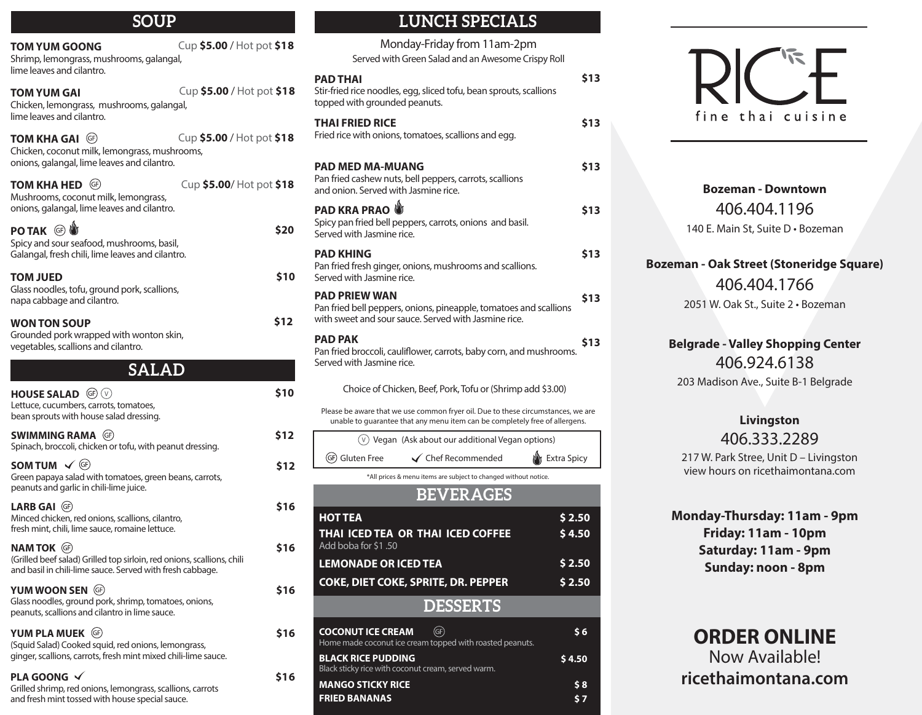| ouur                                                                                                                                                       |                                                                                           |
|------------------------------------------------------------------------------------------------------------------------------------------------------------|-------------------------------------------------------------------------------------------|
| Cup \$5.00 / Hot pot \$18<br><b>TOM YUM GOONG</b><br>Shrimp, lemongrass, mushrooms, galangal,<br>lime leaves and cilantro.                                 | Monda<br>Served with Gr                                                                   |
| Cup \$5.00 / Hot pot \$18<br><b>TOM YUM GAI</b><br>Chicken, lemongrass, mushrooms, galangal,                                                               | <b>PAD THAI</b><br>Stir-fried rice noodles, eq<br>topped with grounded p                  |
| lime leaves and cilantro.<br>Cup \$5.00 / Hot pot \$18<br><b>TOM KHA GAI (GF)</b><br>Chicken, coconut milk, lemongrass, mushrooms,                         | <b>THAI FRIED RICE</b><br>Fried rice with onions, to                                      |
| onions, galangal, lime leaves and cilantro.<br><b>TOM KHA HED</b><br>Cup \$5.00/Hot pot \$18<br>(GF)<br>Mushrooms, coconut milk, lemongrass,               | <b>PAD MED MA-MUAN</b><br>Pan fried cashew nuts, be<br>and onion. Served with J           |
| onions, galangal, lime leaves and cilantro.<br>PO TAK <sup>6</sup>                                                                                         | <b>PAD KRA PRAO</b><br>Spicy pan fried bell pepp<br>\$20<br>Served with Jasmine rice      |
| Spicy and sour seafood, mushrooms, basil,<br>Galangal, fresh chili, lime leaves and cilantro.<br><b>TOM JUED</b>                                           | <b>PAD KHING</b><br>Pan fried fresh ginger, on<br>\$10<br>Served with Jasmine rice        |
| Glass noodles, tofu, ground pork, scallions,<br>napa cabbage and cilantro.                                                                                 | <b>PAD PRIEW WAN</b><br>Pan fried bell peppers, or                                        |
| <b>WON TON SOUP</b><br>Grounded pork wrapped with wonton skin,<br>vegetables, scallions and cilantro.                                                      | with sweet and sour saud<br>\$12<br><b>PAD PAK</b><br>Pan fried broccoli, caulifle        |
| <b>SALAD</b>                                                                                                                                               | Served with Jasmine rice                                                                  |
| HOUSE SALAD <sup>GP</sup><br>Lettuce, cucumbers, carrots, tomatoes,<br>bean sprouts with house salad dressing.                                             | Choice of Chicker<br>\$10<br>Please be aware that we use                                  |
| <b>SWIMMING RAMA</b> (GF)<br>Spinach, broccoli, chicken or tofu, with peanut dressing.                                                                     | unable to guarantee that<br>\$12<br>$(v)$ Vegan (As                                       |
| SOM TUM $\checkmark$ (F)                                                                                                                                   | (GF) Gluten Free<br>\$12<br>*All prices & me                                              |
| Green papaya salad with tomatoes, green beans, carrots,<br>peanuts and garlic in chili-lime juice.                                                         |                                                                                           |
| LARB GAI (GF)<br>Minced chicken, red onions, scallions, cilantro,<br>fresh mint, chili, lime sauce, romaine lettuce.                                       | \$16<br><b>HOT TEA</b><br>THAI ICED TEA OR                                                |
| <b>NAM TOK (GF)</b><br>(Grilled beef salad) Grilled top sirloin, red onions, scallions, chili<br>and basil in chili-lime sauce. Served with fresh cabbage. | Add boba for \$1.50<br>\$16<br><b>LEMONADE OR ICE</b>                                     |
| YUM WOON SEN (GF)<br>Glass noodles, ground pork, shrimp, tomatoes, onions,<br>peanuts, scallions and cilantro in lime sauce.                               | <b>COKE, DIET COKE, 9</b><br>\$16                                                         |
| YUM PLA MUEK (GF)<br>(Squid Salad) Cooked squid, red onions, lemongrass,<br>ginger, scallions, carrots, fresh mint mixed chili-lime sauce.                 | <b>COCONUT ICE CREAM</b><br>\$16<br>Home made coconut ice cr<br><b>BLACK RICE PUDDING</b> |
| PLA GOONG $\sqrt{}$<br>Grilled shrimp, red onions, lemongrass, scallions, carrots<br>and fresh mint tossed with house special sauce.                       | Black sticky rice with cocor<br>\$16<br><b>MANGO STICKY RICE</b><br><b>FRIED BANANAS</b>  |

# **SOUP LUNCH SPECIALS**

| Monday-Friday from 11am-2pm<br>Served with Green Salad and an Awesome Crispy Roll                                                                               |                    |
|-----------------------------------------------------------------------------------------------------------------------------------------------------------------|--------------------|
| PAD THAI<br>Stir-fried rice noodles, egg, sliced tofu, bean sprouts, scallions<br>topped with grounded peanuts.                                                 | \$13               |
| THAI FRIED RICE<br>Fried rice with onions, tomatoes, scallions and egg.                                                                                         | \$13               |
| PAD MED MA-MUANG<br>Pan fried cashew nuts, bell peppers, carrots, scallions<br>and onion. Served with Jasmine rice.                                             | \$13               |
| <b>PAD KRA PRAO</b><br>Spicy pan fried bell peppers, carrots, onions and basil.<br>Served with Jasmine rice.                                                    | \$13               |
| PAD KHING<br>Pan fried fresh ginger, onions, mushrooms and scallions.<br>Served with Jasmine rice.                                                              | \$13               |
| <b>PAD PRIEW WAN</b><br>Pan fried bell peppers, onions, pineapple, tomatoes and scallions<br>with sweet and sour sauce. Served with Jasmine rice.               | \$13               |
| PAD PAK<br>Pan fried broccoli, cauliflower, carrots, baby corn, and mushrooms.<br>Served with Jasmine rice.                                                     | S13                |
| Choice of Chicken, Beef, Pork, Tofu or (Shrimp add \$3.00)                                                                                                      |                    |
| Please be aware that we use common fryer oil. Due to these circumstances, we are<br>unable to quarantee that any menu item can be completely free of allergens. |                    |
| $(\vee)$ Vegan (Ask about our additional Vegan options)                                                                                                         |                    |
| (GF) Gluten Free<br>$\checkmark$ Chef Recommended                                                                                                               | <b>Extra Spicy</b> |
| *All prices & menu items are subject to changed without notice.                                                                                                 |                    |
| <b>BEVERAGES</b>                                                                                                                                                |                    |
| <b>HOT TEA</b><br>THAI ICED TEA OR THAI ICED COFFEE<br>Add boba for \$1,50                                                                                      | \$2.50<br>\$4.50   |
| <b>LEMONADE OR ICED TEA</b>                                                                                                                                     | \$2.50             |
| <b>COKE, DIET COKE, SPRITE, DR. PEPPER</b>                                                                                                                      | \$2.50             |
| <b>DESSERTS</b>                                                                                                                                                 |                    |
| GF)<br><b>COCONUT ICE CREAM</b><br>Home made coconut ice cream topped with roasted peanuts.                                                                     | \$6                |
| <b>BLACK RICE PUDDING</b>                                                                                                                                       | \$4.50             |

rice with coconut cream, served warm.

**\$ 8 \$ 7**



406.404.1196 140 E. Main St, Suite D • Bozeman **Bozeman - Downtown**

### **Bozeman - Oak Street (Stoneridge Square)**

406.404.1766 2051 W. Oak St., Suite 2 • Bozeman

## 406.924.6138 **Belgrade - Valley Shopping Center**

203 Madison Ave., Suite B-1 Belgrade

## 406.333.2289 **Livingston**

217 W. Park Stree, Unit D – Livingston view hours on ricethaimontana.com

**Monday-Thursday: 11am - 9pm Friday: 11am - 10pm Saturday: 11am - 9pm Sunday: noon - 8pm**

**ricethaimontana.com** Now Available! **ORDER ONLINE**